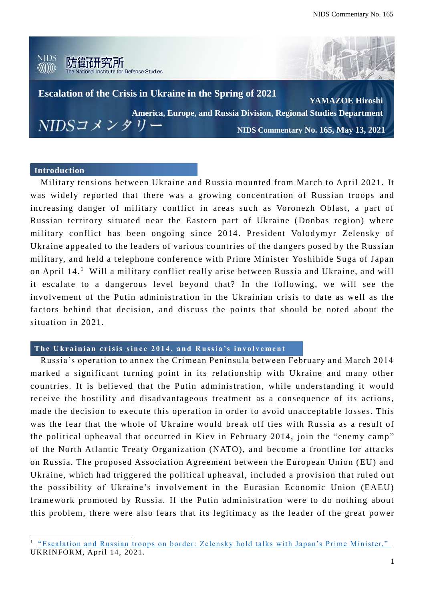

### **Introduction**

 $\overline{a}$ 

Military tensions between Ukraine and Russia mounted from March to April 2021. It was widely reported that there was a growing concentration of Russian troops and increasing danger of military conflict in areas such as Voronezh Oblast, a part of Russian territory situated near the Eastern part of Ukraine (Donbas region) where military conflict has been ongoing since 2014. President Volodymyr Zelensky of Ukraine appealed to the leaders of various countries of the dangers posed by the Russian military, and held a telephone conference with Prime Minister Yoshihide Suga of Japan on April 14. <sup>1</sup> Will a military conflict really arise between Russia and Ukraine, and will it escalate to a dangerous level beyond that? In the following, we will see the involvement of the Putin administration in the Ukrainian crisis to date as well as the factors behind that decision, and discuss the points that should be noted about the situation in 2021.

## The Ukrainian crisis since 2014, and Russia's involvement

Russia's operation to annex the Crimean Peninsula between February and March 2014 marked a significant turning point in its relationship with Ukraine and many other countries. It is believed that the Putin administration, while understanding it would receive the hostility and disadvantageous treatment as a consequence of its actions, made the decision to execute this operation in order to avoid unacceptable losses. This was the fear that the whole of Ukraine would break off ties with Russia as a result of the political upheaval that occurred in Kiev in February 2014, join the "enemy camp" of the North Atlantic Treaty Organization (NATO), and become a frontline for attacks on Russia. The proposed Association Agreement between the European Union (EU) and Ukraine, which had triggered the political upheaval, included a provision that ruled out the possibility of Ukraine's involvement in the Eurasian Economic Union (EAEU) framework promoted by Russia. If the Putin administration were to do nothing about this problem, there were also fears that its legitimacy as the leader of the great power

<sup>&</sup>lt;sup>1</sup> ["Escalation and Russian troops on border: Zelensky hold talks with Japan's Prime Minister,"](https://www.ukrinform.net/rubric-polytics/3227706-escalation-and-russian-troops-on-border-zelensky-hold-talks-with-japans-prime-minister.html) UKRINFORM, April 14, 2021.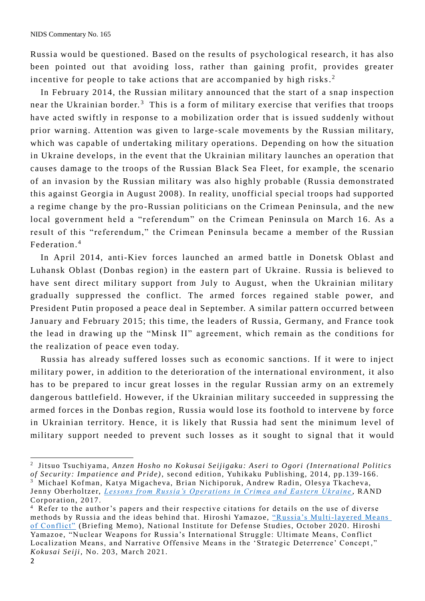Russia would be questioned. Based on the results of psychological research, it has also been pointed out that avoiding loss, rather than gaining profit, provides greater incentive for people to take actions that are accompanied by high risks.<sup>2</sup>

In February 2014, the Russian military announced that the start of a snap inspection near the Ukrainian border.<sup>3</sup> This is a form of military exercise that verifies that troops have acted swiftly in response to a mobilization order that is issued suddenly without prior warning. Attention was given to large -scale movements by the Russian military, which was capable of undertaking military operations. Depending on how the situation in Ukraine develops, in the event that the Ukrainian military launches an operation that causes damage to the troops of the Russian Black Sea Fleet, for example, the scenario of an invasion by the Russian military was also highly probable (Russia demonstrated this against Georgia in August 2008). In reality, unofficial special troops had supported a regime change by the pro -Russian politicians on the Crimean Peninsula, and the new local government held a "referendum" on the Crimean Peninsula on March 16. As a result of this "referendum," the Crimean Peninsula became a member of the Russian Federation. 4

In April 2014, anti-Kiev forces launched an armed battle in Donetsk Oblast and Luhansk Oblast (Donbas region) in the eastern part of Ukraine. Russia is believed to have sent direct military support from July to August, when the Ukrainian military gradually suppressed the conflict. The armed forces regained stable power, and President Putin proposed a peace deal in September. A similar pattern occurred between January and February 2015; this time, the leaders of Russia, Germany, and France took the lead in drawing up the "Minsk II" agreement, which remain as the conditions for the realization of peace even today.

Russia has already suffered losses such as economic sanctions. If it were to inject military power, in addition to the deterioration of the international environment, it also has to be prepared to incur great losses in the regular Russian army on an extremely dangerous battlefield. However, if the Ukrainian military succeeded in suppressing the armed forces in the Donbas region, Russia would lose its foothold to intervene by force in Ukrainian territory. Hence, it is likely that Russia had sent the minimum level of military support needed to prevent such losses as it sought to signal that it would

 $\overline{a}$ 

<sup>2</sup> Jitsuo Tsuchiyama, *Anzen Hosho no Kokusai Seijigaku: Aseri to Ogori (International Politics of Security: Impatience and Pride)*, second edition, Yuhikaku Publishing, 2014, pp. 139-166.

<sup>3</sup> Michael Kofman, Katya Migacheva, Brian Nichiporuk, Andrew Radin, Olesya Tkacheva, Jenny Oberholtzer, *[Lessons from Russia's Operations in Crimea and Eastern Ukraine](https://www.rand.org/pubs/research_reports/RR1498.html)* , RAND Corporation, 2017.

<sup>&</sup>lt;sup>4</sup> Refer to the author's papers and their respective citations for details on the use of diverse methods by Russia and the ideas behind that. Hiroshi Yamazoe, "Russia's Multi-layered Means [of Conflict"](http://www.nids.mod.go.jp/english/publication/briefing/pdf/2020/briefing_e202010.pdf) (Briefing Memo), National Institute for Defense Studies, October 2020. Hiroshi Yamazoe, "Nuclear Weapons for Russia's International Struggle: Ultimate Means, Conflict Localization Means, and Narrative Offensive Means in the 'Strategic Deterrence' Concept ," *Kokusai Seiji*, No. 203, March 2021.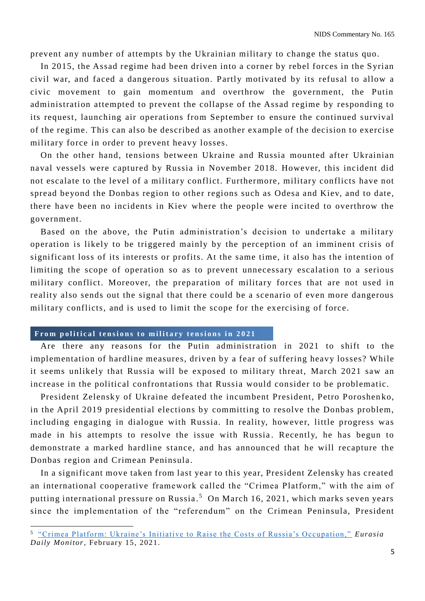prevent any number of attempts by the Ukrainian military to change the status quo.

In 2015, the Assad regime had been driven into a corner by rebel forces in the Syrian civil war, and faced a dangerous situation. Partly motivated by its refusal to allow a civic movement to gain momentum and overthrow the government, the Putin administration attempted to prevent the collapse of the Assad regime by responding to its request, launching air operations from September to ensure the continued survival of the regime. This can also be described as an other example of the decision to exercise military force in order to prevent heavy losses.

On the other hand, tensions between Ukraine and Russia mounted after Ukrainian naval vessels were captured by Russia in November 2018. However, this incident did not escalate to the level of a military conflict. Furthermore, military conflicts have not spread beyond the Donbas region to other regions such as Odesa and Kiev, and to date, there have been no incidents in Kiev where the people were incited to overthrow the government.

Based on the above, the Putin administration's decision to undertake a military operation is likely to be triggered mainly by the perception of an imminent crisis of significant loss of its interests or profits. At the same time, it also has the intention of limiting the scope of operation so as to prevent unnecessary escalation to a serious military conflict. Moreover, the preparation of military forces that are not used in reality also sends out the signal that there could be a scenario of even more dangerous military conflicts, and is used to limit the scope for the exercising of force.

#### From political tensions to military tensions in 2021

 $\overline{a}$ 

Are there any reasons for the Putin administration in 2021 to shift to the implementation of hardline measures, driven by a fear of suffering heavy losses? While it seems unlikely that Russia will be exposed to military threat, March 2021 saw an increase in the political confrontations that Russia would consider to be problematic.

President Zelensky of Ukraine defeated the incumbent President, Petro Poroshenko, in the April 2019 presidential elections by committing to resolve the Donbas problem, including engaging in dialogue with Russia. In reality, however, little progress was made in his attempts to resolve the issue with Russia. Recently, he has begun to demonstrate a marked hardline stance, and has announced that he will recapture the Donbas region and Crimean Peninsula .

In a significant move taken from last year to this year, President Zelensky has created an international cooperative framework called the "Crimea Platform," with the aim of putting international pressure on Russia . <sup>5</sup> On March 16, 2021, which marks seven years since the implementation of the "referendum" on the Crimean Peninsula, President

<sup>5</sup> ["Crimea Platform: Ukraine's Initiative to Raise the Costs of Russia's Occupation,"](https://jamestown.org/program/crimea-platform-ukraines-initiative-to-raise-the-costs-of-russias-occupation/) *Eurasia Daily Monitor*, February 15, 2021.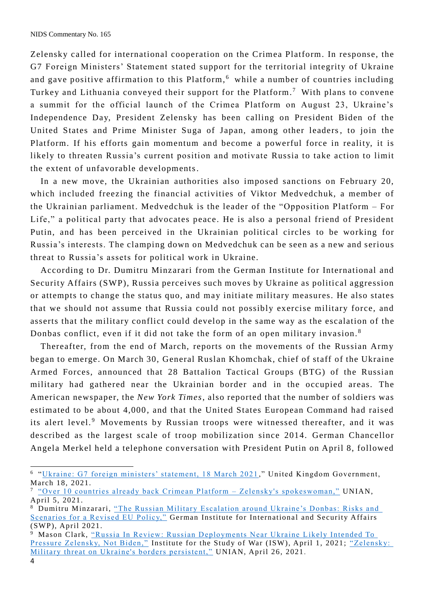Zelensky called for international cooperation on the Crimea Platform. In response, the G7 Foreign Ministers' Statement stated support for the territorial integrity of Ukraine and gave positive affirmation to this Platform, <sup>6</sup> while a number of countries including Turkey and Lithuania conveyed their support for the Platform.<sup>7</sup> With plans to convene a summit for the official launch of the Crimea Platform on August 23, Ukraine's Independence Day, President Zelensky has been calling on President Biden of the United States and Prime Minister Suga of Japan, among other leaders, to join the Platform. If his efforts gain momentum and become a powerful force in reality, it is likely to threaten Russia's current position and motivate Russia to take action to limit the extent of unfavorable developments.

In a new move, the Ukrainian authorities also imposed sanctions on February 20, which included freezing the financial activities of Viktor Medvedchuk, a member of the Ukrainian parliament. Medvedchuk is the leader of the "Opposition Platform – For Life," a political party that advocates peace . He is also a personal friend of President Putin, and has been perceived in the Ukrainian political circles to be working for Russia's interests. The clamping down on Medvedchuk can be seen as a new and serious threat to Russia's assets for political work in Ukraine.

According to Dr. Dumitru Minzarari from the German Institute for International and Security Affairs (SWP), Russia perceives such moves by Ukraine as political aggression or attempts to change the status quo, and may initiate military measures. He also states that we should not assume that Russia could not possibly exercise military force, and asserts that the military conflict could develop in the same way as the escalation of the Donbas conflict, even if it did not take the form of an open military invasion.<sup>8</sup>

Thereafter, from the end of March, reports on the movements of the Russian Army began to emerge. On March 30, General Ruslan Khomchak, chief of staff of the Ukraine Armed Forces, announced that 28 Battalion Tactical Groups (BTG) of the Russian military had gathered near the Ukrainian border and in the occupied areas. The American newspaper, the *New York Times*, also reported that the number of soldiers was estimated to be about 4,000 , and that the United States European Command had raised its alert level.<sup>9</sup> Movements by Russian troops were witnessed thereafter, and it was described as the largest scale of troop mobilization since 2014. German Chancellor Angela Merkel held a telephone conversation with President Putin on April 8, followed

 $\overline{a}$ 

<sup>&</sup>lt;sup>6</sup> ["Ukraine: G7 foreign ministers' statement, 18 March 2021](https://www.gov.uk/government/news/g7-foreign-ministers-statement-on-ukraine)," United Kingdom Government, March 18, 2021.

<sup>7</sup> ["Over 10 countries already back Crimean Platform –](https://www.unian.info/politics/crimean-platform-over-10-countries-already-back-initiative-zelensky-s-spokeswoman-11376982.html) Zelensky's spokeswoman," UNIAN, April 5, 2021.

<sup>8</sup> Dumitru Minzarari, "The Russian Military Escalation around Ukraine's Donbas: Risks and [Scenarios for a Revised EU Policy,"](https://www.swp-berlin.org/en/publication/the-russian-military-escalation-around-ukraines-donbas/) German Institute for International and Security Affairs (SWP), April 2021.

<sup>&</sup>lt;sup>9</sup> Mason Clark, ["Russia In Review: Russian Deployments Near Ukraine L](http://www.understandingwar.org/backgrounder/russia-review-russian-deployments-near-ukraine-likely-intended-pressure-zelensky-not)ikely Intended To [Pressure Zelensky, Not Biden,"](http://www.understandingwar.org/backgrounder/russia-review-russian-deployments-near-ukraine-likely-intended-pressure-zelensky-not) Institute for the Study of War (ISW), April 1, 2021; "Zelensky: [Military threat on Ukraine's borders persistent,"](https://www.unian.info/politics/zelensky-military-threat-on-ukraine-s-borders-persistent-11401366.html) UNIAN, April 26, 2021.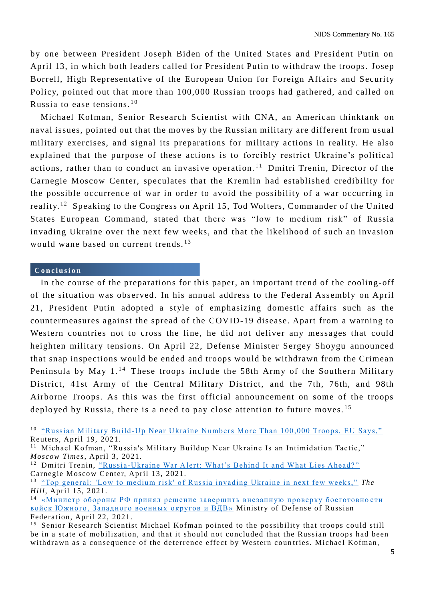by one between President Joseph Biden of the United States and President Putin on April 13, in which both leaders called for President Putin to withdraw the troops. Josep Borrell, High Representative of the European Union for Foreign Affairs and Security Policy, pointed out that more than 100,000 Russian troops had gathered, and called on Russia to ease tensions. $10$ 

Michael Kofman, Senior Research Scientist with CNA, an American thinktank on naval issues, pointed out that the moves by the Russian military are different from usual military exercises, and signal its preparations for military actions in reality. He also explained that the purpose of these actions is to forcibly restrict Ukraine's political actions, rather than to conduct an invasive operation.<sup>11</sup> Dmitri Trenin, Director of the Carnegie Moscow Center, speculates that the Kremlin had established credibility for the possible occurrence of war in order to avoid the possibility of a war occurring in reality.<sup>12</sup> Speaking to the Congress on April 15, Tod Wolters, Commander of the United States European Command, stated that there was "low to medium risk" of Russia invading Ukraine over the next few weeks, and that the likelihood of such an invasion would wane based on current trends.<sup>13</sup>

#### **C o n c l u s i o n**

In the course of the preparations for this paper, an important trend of the cooling-off of the situation was observed. In his annual address to the Federal Assembly on April 21, President Putin adopted a style of emphasizing domestic affairs such as the countermeasures against the spread of the COVID-19 disease. Apart from a warning to Western countries not to cross the line, he did not deliver any messages that could heighten military tensions. On April 22, Defense Minister Sergey Shoygu announced that snap inspections would be ended and troops would be withdrawn from the Crimean Peninsula by May  $1<sup>14</sup>$  These troops include the 58th Army of the Southern Military District, 41st Army of the Central Military District, and the 7th, 76th, and 98th Airborne Troops. As this was the first official announcement on some of the troops deployed by Russia, there is a need to pay close attention to future moves.<sup>15</sup>

<sup>&</sup>lt;sup>10</sup> "Russian Military Build[-Up Near Ukraine Numbers More Than 100,000 Troops, EU Says,"](https://www.usnews.com/news/world/articles/2021-04-19/russian-military-build-up-near-ukraine-numbers-more-than-150-000-troops-eus-borrell-says) Reuters, April 19, 2021.

<sup>&</sup>lt;sup>11</sup> Michael Kofman, "Russia's Military Buildup Near Ukraine Is an Intimidation Tactic," *Moscow Times*, April 3, 2021.

<sup>&</sup>lt;sup>12</sup> Dmitri Trenin, "Russia[-Ukraine War Alert: What's Behind It and What Lies Ahead?"](https://carnegie.ru/commentary/84308) Carnegie Moscow Center, April 13, 2021.

<sup>&</sup>lt;sup>13</sup> ["Top general: 'Low to medium risk' of Russia invading Ukraine in next few weeks,"](https://thehill.com/policy/defense/548498-top-general-low-to-medium-risk-of-russia-invading-ukraine-in-next-few-weeks) The *Hill*, April 15, 2021.

<sup>&</sup>lt;sup>14</sup> [«Министр обороны РФ принял решение завершить внезапную проверку боеготовно](https://function.mil.ru/news_page/country/more.htm?id=12357389@egNews) сти [войск Южного, Западного военных округов и ВДВ»](https://function.mil.ru/news_page/country/more.htm?id=12357389@egNews) Ministry of Defense of Russian Federation, April 22, 2021.

<sup>&</sup>lt;sup>15</sup> Senior Research Scientist Michael Kofman pointed to the possibility that troops could still be in a state of mobilization, and that it should not concluded that the Russian troops had been withdrawn as a consequence of the deterrence effect by Western coun tries. Michael Kofman,